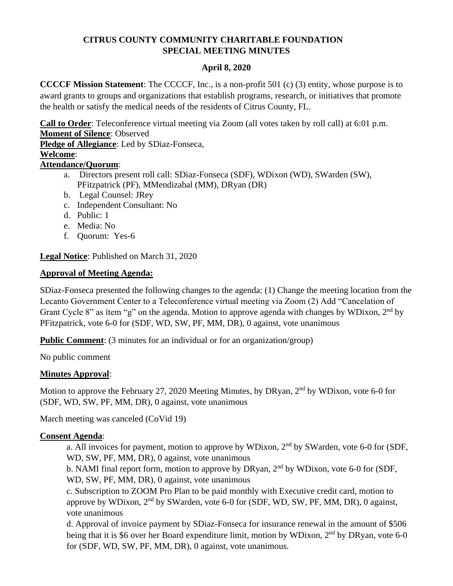# **CITRUS COUNTY COMMUNITY CHARITABLE FOUNDATION SPECIAL MEETING MINUTES**

## **April 8, 2020**

**CCCCF Mission Statement**: The CCCCF, Inc., is a non-profit 501 (c) (3) entity, whose purpose is to award grants to groups and organizations that establish programs, research, or initiatives that promote the health or satisfy the medical needs of the residents of Citrus County, FL.

**Call to Order**: Teleconference virtual meeting via Zoom (all votes taken by roll call) at 6:01 p.m. **Moment of Silence**: Observed

**Pledge of Allegiance**: Led by SDiaz-Fonseca,

#### **Welcome**:

## **Attendance/Quorum**:

- a. Directors present roll call: SDiaz-Fonseca (SDF), WDixon (WD), SWarden (SW), PFitzpatrick (PF), MMendizabal (MM), DRyan (DR)
- b. Legal Counsel: JRey
- c. Independent Consultant: No
- d. Public: 1
- e. Media: No
- f. Quorum: Yes-6

**Legal Notice**: Published on March 31, 2020

## **Approval of Meeting Agenda:**

SDiaz-Fonseca presented the following changes to the agenda: (1) Change the meeting location from the Lecanto Government Center to a Teleconference virtual meeting via Zoom (2) Add "Cancelation of Grant Cycle 8" as item "g" on the agenda. Motion to approve agenda with changes by WDixon, 2<sup>nd</sup> by PFitzpatrick, vote 6-0 for (SDF, WD, SW, PF, MM, DR), 0 against, vote unanimous

**Public Comment**: (3 minutes for an individual or for an organization/group)

No public comment

## **Minutes Approval**:

Motion to approve the February 27, 2020 Meeting Minutes, by DRyan, 2<sup>nd</sup> by WDixon, vote 6-0 for (SDF, WD, SW, PF, MM, DR), 0 against, vote unanimous

March meeting was canceled (CoVid 19)

## **Consent Agenda**:

a. All invoices for payment, motion to approve by WDixon,  $2<sup>nd</sup>$  by SWarden, vote 6-0 for (SDF, WD, SW, PF, MM, DR), 0 against, vote unanimous

b. NAMI final report form, motion to approve by DRyan,  $2<sup>nd</sup>$  by WDixon, vote 6-0 for (SDF, WD, SW, PF, MM, DR), 0 against, vote unanimous

c. Subscription to ZOOM Pro Plan to be paid monthly with Executive credit card, motion to approve by WDixon, 2nd by SWarden, vote 6-0 for (SDF, WD, SW, PF, MM, DR), 0 against, vote unanimous

d. Approval of invoice payment by SDiaz-Fonseca for insurance renewal in the amount of \$506 being that it is \$6 over her Board expenditure limit, motion by WDixon,  $2<sup>nd</sup>$  by DRyan, vote 6-0 for (SDF, WD, SW, PF, MM, DR), 0 against, vote unanimous.